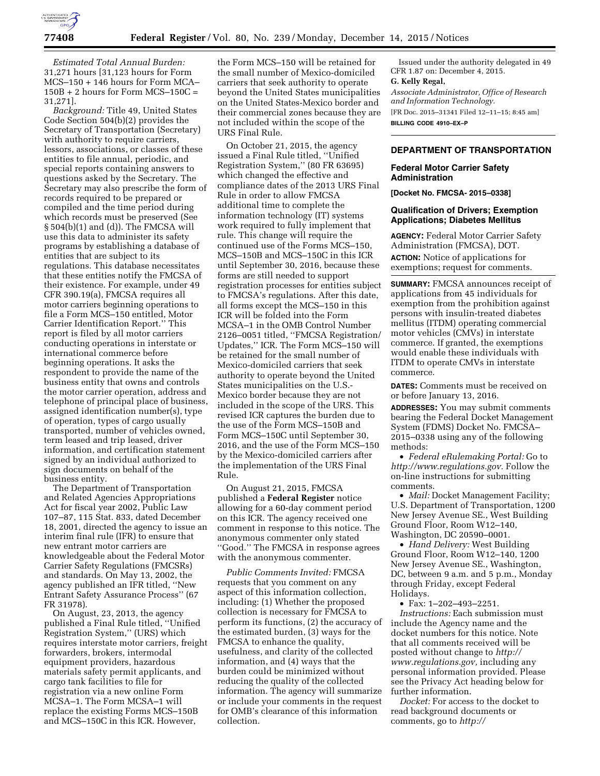

*Estimated Total Annual Burden:*  31,271 hours [31,123 hours for Form MCS–150 + 146 hours for Form MCA– 150B + 2 hours for Form MCS–150C = 31,271].

*Background:* Title 49, United States Code Section 504(b)(2) provides the Secretary of Transportation (Secretary) with authority to require carriers, lessors, associations, or classes of these entities to file annual, periodic, and special reports containing answers to questions asked by the Secretary. The Secretary may also prescribe the form of records required to be prepared or compiled and the time period during which records must be preserved (See § 504(b)(1) and (d)). The FMCSA will use this data to administer its safety programs by establishing a database of entities that are subject to its regulations. This database necessitates that these entities notify the FMCSA of their existence. For example, under 49 CFR 390.19(a), FMCSA requires all motor carriers beginning operations to file a Form MCS–150 entitled, Motor Carrier Identification Report.'' This report is filed by all motor carriers conducting operations in interstate or international commerce before beginning operations. It asks the respondent to provide the name of the business entity that owns and controls the motor carrier operation, address and telephone of principal place of business, assigned identification number(s), type of operation, types of cargo usually transported, number of vehicles owned, term leased and trip leased, driver information, and certification statement signed by an individual authorized to sign documents on behalf of the business entity.

The Department of Transportation and Related Agencies Appropriations Act for fiscal year 2002, Public Law 107–87, 115 Stat. 833, dated December 18, 2001, directed the agency to issue an interim final rule (IFR) to ensure that new entrant motor carriers are knowledgeable about the Federal Motor Carrier Safety Regulations (FMCSRs) and standards. On May 13, 2002, the agency published an IFR titled, ''New Entrant Safety Assurance Process'' (67 FR 31978).

On August, 23, 2013, the agency published a Final Rule titled, ''Unified Registration System,'' (URS) which requires interstate motor carriers, freight forwarders, brokers, intermodal equipment providers, hazardous materials safety permit applicants, and cargo tank facilities to file for registration via a new online Form MCSA–1. The Form MCSA–1 will replace the existing Forms MCS–150B and MCS–150C in this ICR. However,

the Form MCS–150 will be retained for the small number of Mexico-domiciled carriers that seek authority to operate beyond the United States municipalities on the United States-Mexico border and their commercial zones because they are not included within the scope of the URS Final Rule.

On October 21, 2015, the agency issued a Final Rule titled, ''Unified Registration System,'' (80 FR 63695) which changed the effective and compliance dates of the 2013 URS Final Rule in order to allow FMCSA additional time to complete the information technology (IT) systems work required to fully implement that rule. This change will require the continued use of the Forms MCS–150, MCS–150B and MCS–150C in this ICR until September 30, 2016, because these forms are still needed to support registration processes for entities subject to FMCSA's regulations. After this date, all forms except the MCS–150 in this ICR will be folded into the Form MCSA–1 in the OMB Control Number 2126–0051 titled, ''FMCSA Registration/ Updates,'' ICR. The Form MCS–150 will be retained for the small number of Mexico-domiciled carriers that seek authority to operate beyond the United States municipalities on the U.S.- Mexico border because they are not included in the scope of the URS. This revised ICR captures the burden due to the use of the Form MCS–150B and Form MCS–150C until September 30, 2016, and the use of the Form MCS–150 by the Mexico-domiciled carriers after the implementation of the URS Final Rule.

On August 21, 2015, FMCSA published a **Federal Register** notice allowing for a 60-day comment period on this ICR. The agency received one comment in response to this notice. The anonymous commenter only stated ''Good.'' The FMCSA in response agrees with the anonymous commenter.

*Public Comments Invited:* FMCSA requests that you comment on any aspect of this information collection, including: (1) Whether the proposed collection is necessary for FMCSA to perform its functions, (2) the accuracy of the estimated burden, (3) ways for the FMCSA to enhance the quality, usefulness, and clarity of the collected information, and (4) ways that the burden could be minimized without reducing the quality of the collected information. The agency will summarize or include your comments in the request for OMB's clearance of this information collection.

Issued under the authority delegated in 49 CFR 1.87 on: December 4, 2015.

# **G. Kelly Regal,**

*Associate Administrator, Office of Research and Information Technology.*  [FR Doc. 2015–31341 Filed 12–11–15; 8:45 am]

**BILLING CODE 4910–EX–P** 

# **DEPARTMENT OF TRANSPORTATION**

# **Federal Motor Carrier Safety Administration**

**[Docket No. FMCSA- 2015–0338]** 

# **Qualification of Drivers; Exemption Applications; Diabetes Mellitus**

**AGENCY:** Federal Motor Carrier Safety Administration (FMCSA), DOT. **ACTION:** Notice of applications for exemptions; request for comments.

**SUMMARY:** FMCSA announces receipt of applications from 45 individuals for exemption from the prohibition against persons with insulin-treated diabetes mellitus (ITDM) operating commercial motor vehicles (CMVs) in interstate commerce. If granted, the exemptions would enable these individuals with ITDM to operate CMVs in interstate commerce.

**DATES:** Comments must be received on or before January 13, 2016.

**ADDRESSES:** You may submit comments bearing the Federal Docket Management System (FDMS) Docket No. FMCSA– 2015–0338 using any of the following methods:

• *Federal eRulemaking Portal:* Go to *[http://www.regulations.gov.](http://www.regulations.gov)* Follow the on-line instructions for submitting comments.

• *Mail:* Docket Management Facility; U.S. Department of Transportation, 1200 New Jersey Avenue SE., West Building Ground Floor, Room W12–140, Washington, DC 20590–0001.

• *Hand Delivery:* West Building Ground Floor, Room W12–140, 1200 New Jersey Avenue SE., Washington, DC, between 9 a.m. and 5 p.m., Monday through Friday, except Federal Holidays.

• Fax: 1–202–493–2251.

*Instructions:* Each submission must include the Agency name and the docket numbers for this notice. Note that all comments received will be posted without change to *[http://](http://www.regulations.gov) [www.regulations.gov,](http://www.regulations.gov)* including any personal information provided. Please see the Privacy Act heading below for further information.

*Docket:* For access to the docket to read background documents or comments, go to *[http://](http://www.regulations.gov)*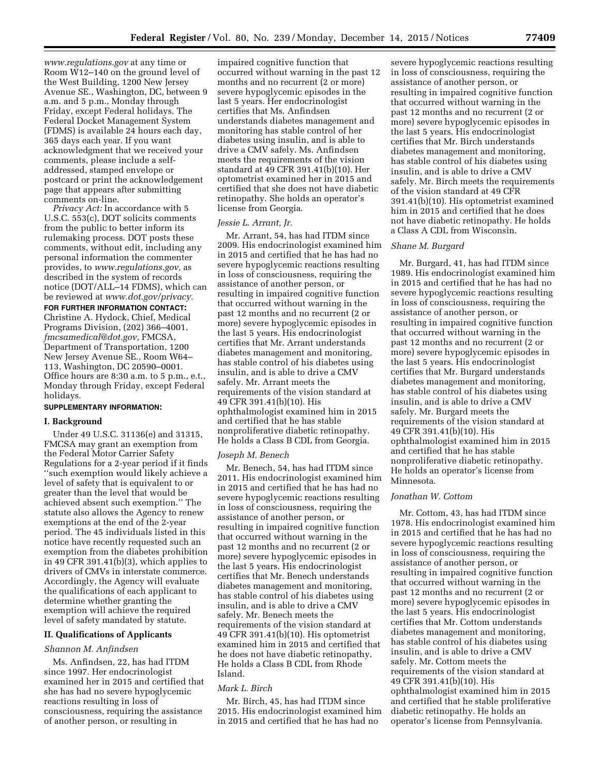*[www.regulations.gov](http://www.regulations.gov)* at any time or Room W12–140 on the ground level of the West Building, 1200 New Jersey Avenue SE., Washington, DC, between 9 a.m. and 5 p.m., Monday through Friday, except Federal holidays. The Federal Docket Management System (FDMS) is available 24 hours each day, 365 days each year. If you want acknowledgment that we received your comments, please include a selfaddressed, stamped envelope or postcard or print the acknowledgement page that appears after submitting comments on-line.

*Privacy Act:* In accordance with 5 U.S.C. 553(c), DOT solicits comments from the public to better inform its rulemaking process. DOT posts these comments, without edit, including any personal information the commenter provides, to *[www.regulations.gov,](http://www.regulations.gov)* as described in the system of records notice (DOT/ALL–14 FDMS), which can be reviewed at *[www.dot.gov/privacy.](http://www.dot.gov/privacy)*  **FOR FURTHER INFORMATION CONTACT:**  Christine A. Hydock, Chief, Medical Programs Division, (202) 366–4001, *[fmcsamedical@dot.gov,](mailto:fmcsamedical@dot.gov)* FMCSA, Department of Transportation, 1200 New Jersey Avenue SE., Room W64– 113, Washington, DC 20590–0001.

Office hours are 8:30 a.m. to 5 p.m., e.t., Monday through Friday, except Federal holidays.

# **SUPPLEMENTARY INFORMATION:**

# **I. Background**

Under 49 U.S.C. 31136(e) and 31315, FMCSA may grant an exemption from the Federal Motor Carrier Safety Regulations for a 2-year period if it finds ''such exemption would likely achieve a level of safety that is equivalent to or greater than the level that would be achieved absent such exemption.'' The statute also allows the Agency to renew exemptions at the end of the 2-year period. The 45 individuals listed in this notice have recently requested such an exemption from the diabetes prohibition in 49 CFR 391.41(b)(3), which applies to drivers of CMVs in interstate commerce. Accordingly, the Agency will evaluate the qualifications of each applicant to determine whether granting the exemption will achieve the required level of safety mandated by statute.

## **II. Qualifications of Applicants**

### *Shannon M. Anfindsen*

Ms. Anfindsen, 22, has had ITDM since 1997. Her endocrinologist examined her in 2015 and certified that she has had no severe hypoglycemic reactions resulting in loss of consciousness, requiring the assistance of another person, or resulting in

impaired cognitive function that occurred without warning in the past 12 months and no recurrent (2 or more) severe hypoglycemic episodes in the last 5 years. Her endocrinologist certifies that Ms. Anfindsen understands diabetes management and monitoring has stable control of her diabetes using insulin, and is able to drive a CMV safely. Ms. Anfindsen meets the requirements of the vision standard at 49 CFR 391.41(b)(10). Her optometrist examined her in 2015 and certified that she does not have diabetic retinopathy. She holds an operator's license from Georgia.

#### *Jessie L. Arrant, Jr.*

Mr. Arrant, 54, has had ITDM since 2009. His endocrinologist examined him in 2015 and certified that he has had no severe hypoglycemic reactions resulting in loss of consciousness, requiring the assistance of another person, or resulting in impaired cognitive function that occurred without warning in the past 12 months and no recurrent (2 or more) severe hypoglycemic episodes in the last 5 years. His endocrinologist certifies that Mr. Arrant understands diabetes management and monitoring, has stable control of his diabetes using insulin, and is able to drive a CMV safely. Mr. Arrant meets the requirements of the vision standard at 49 CFR 391.41(b)(10). His ophthalmologist examined him in 2015 and certified that he has stable nonproliferative diabetic retinopathy. He holds a Class B CDL from Georgia.

#### *Joseph M. Benech*

Mr. Benech, 54, has had ITDM since 2011. His endocrinologist examined him in 2015 and certified that he has had no severe hypoglycemic reactions resulting in loss of consciousness, requiring the assistance of another person, or resulting in impaired cognitive function that occurred without warning in the past 12 months and no recurrent (2 or more) severe hypoglycemic episodes in the last 5 years. His endocrinologist certifies that Mr. Benech understands diabetes management and monitoring, has stable control of his diabetes using insulin, and is able to drive a CMV safely. Mr. Benech meets the requirements of the vision standard at 49 CFR 391.41(b)(10). His optometrist examined him in 2015 and certified that he does not have diabetic retinopathy. He holds a Class B CDL from Rhode Island.

## *Mark L. Birch*

Mr. Birch, 45, has had ITDM since 2015. His endocrinologist examined him in 2015 and certified that he has had no

severe hypoglycemic reactions resulting in loss of consciousness, requiring the assistance of another person, or resulting in impaired cognitive function that occurred without warning in the past 12 months and no recurrent (2 or more) severe hypoglycemic episodes in the last 5 years. His endocrinologist certifies that Mr. Birch understands diabetes management and monitoring, has stable control of his diabetes using insulin, and is able to drive a CMV safely. Mr. Birch meets the requirements of the vision standard at 49 CFR 391.41(b)(10). His optometrist examined him in 2015 and certified that he does not have diabetic retinopathy. He holds a Class A CDL from Wisconsin.

### *Shane M. Burgard*

Mr. Burgard, 41, has had ITDM since 1989. His endocrinologist examined him in 2015 and certified that he has had no severe hypoglycemic reactions resulting in loss of consciousness, requiring the assistance of another person, or resulting in impaired cognitive function that occurred without warning in the past 12 months and no recurrent (2 or more) severe hypoglycemic episodes in the last 5 years. His endocrinologist certifies that Mr. Burgard understands diabetes management and monitoring, has stable control of his diabetes using insulin, and is able to drive a CMV safely. Mr. Burgard meets the requirements of the vision standard at 49 CFR 391.41(b)(10). His ophthalmologist examined him in 2015 and certified that he has stable nonproliferative diabetic retinopathy. He holds an operator's license from Minnesota.

### *Jonathan W. Cottom*

Mr. Cottom, 43, has had ITDM since 1978. His endocrinologist examined him in 2015 and certified that he has had no severe hypoglycemic reactions resulting in loss of consciousness, requiring the assistance of another person, or resulting in impaired cognitive function that occurred without warning in the past 12 months and no recurrent (2 or more) severe hypoglycemic episodes in the last 5 years. His endocrinologist certifies that Mr. Cottom understands diabetes management and monitoring, has stable control of his diabetes using insulin, and is able to drive a CMV safely. Mr. Cottom meets the requirements of the vision standard at 49 CFR 391.41(b)(10). His ophthalmologist examined him in 2015 and certified that he stable proliferative diabetic retinopathy. He holds an operator's license from Pennsylvania.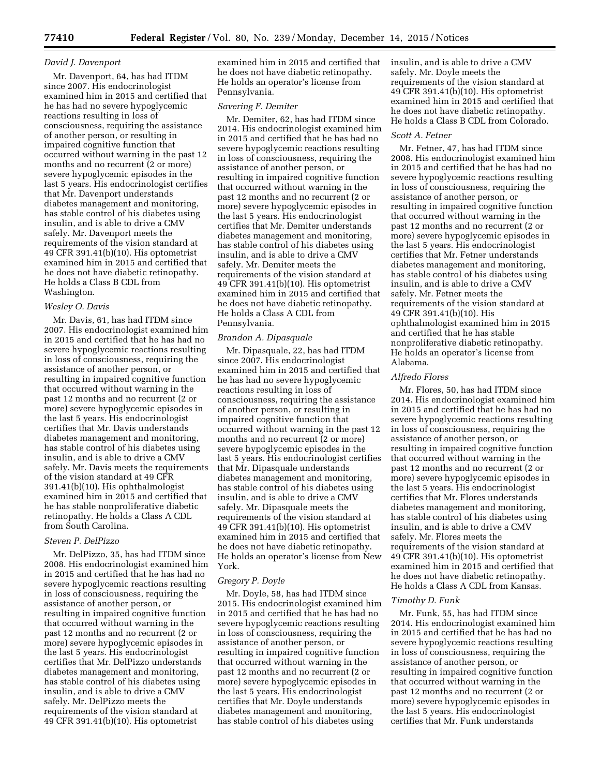## *David J. Davenport*

Mr. Davenport, 64, has had ITDM since 2007. His endocrinologist examined him in 2015 and certified that he has had no severe hypoglycemic reactions resulting in loss of consciousness, requiring the assistance of another person, or resulting in impaired cognitive function that occurred without warning in the past 12 months and no recurrent (2 or more) severe hypoglycemic episodes in the last 5 years. His endocrinologist certifies that Mr. Davenport understands diabetes management and monitoring, has stable control of his diabetes using insulin, and is able to drive a CMV safely. Mr. Davenport meets the requirements of the vision standard at 49 CFR 391.41(b)(10). His optometrist examined him in 2015 and certified that he does not have diabetic retinopathy. He holds a Class B CDL from Washington.

### *Wesley O. Davis*

Mr. Davis, 61, has had ITDM since 2007. His endocrinologist examined him in 2015 and certified that he has had no severe hypoglycemic reactions resulting in loss of consciousness, requiring the assistance of another person, or resulting in impaired cognitive function that occurred without warning in the past 12 months and no recurrent (2 or more) severe hypoglycemic episodes in the last 5 years. His endocrinologist certifies that Mr. Davis understands diabetes management and monitoring, has stable control of his diabetes using insulin, and is able to drive a CMV safely. Mr. Davis meets the requirements of the vision standard at 49 CFR 391.41(b)(10). His ophthalmologist examined him in 2015 and certified that he has stable nonproliferative diabetic retinopathy. He holds a Class A CDL from South Carolina.

### *Steven P. DelPizzo*

Mr. DelPizzo, 35, has had ITDM since 2008. His endocrinologist examined him in 2015 and certified that he has had no severe hypoglycemic reactions resulting in loss of consciousness, requiring the assistance of another person, or resulting in impaired cognitive function that occurred without warning in the past 12 months and no recurrent (2 or more) severe hypoglycemic episodes in the last 5 years. His endocrinologist certifies that Mr. DelPizzo understands diabetes management and monitoring, has stable control of his diabetes using insulin, and is able to drive a CMV safely. Mr. DelPizzo meets the requirements of the vision standard at 49 CFR 391.41(b)(10). His optometrist

examined him in 2015 and certified that he does not have diabetic retinopathy. He holds an operator's license from Pennsylvania.

### *Savering F. Demiter*

Mr. Demiter, 62, has had ITDM since 2014. His endocrinologist examined him in 2015 and certified that he has had no severe hypoglycemic reactions resulting in loss of consciousness, requiring the assistance of another person, or resulting in impaired cognitive function that occurred without warning in the past 12 months and no recurrent (2 or more) severe hypoglycemic episodes in the last 5 years. His endocrinologist certifies that Mr. Demiter understands diabetes management and monitoring, has stable control of his diabetes using insulin, and is able to drive a CMV safely. Mr. Demiter meets the requirements of the vision standard at 49 CFR 391.41(b)(10). His optometrist examined him in 2015 and certified that he does not have diabetic retinopathy. He holds a Class A CDL from Pennsylvania.

### *Brandon A. Dipasquale*

Mr. Dipasquale, 22, has had ITDM since 2007. His endocrinologist examined him in 2015 and certified that he has had no severe hypoglycemic reactions resulting in loss of consciousness, requiring the assistance of another person, or resulting in impaired cognitive function that occurred without warning in the past 12 months and no recurrent (2 or more) severe hypoglycemic episodes in the last 5 years. His endocrinologist certifies that Mr. Dipasquale understands diabetes management and monitoring, has stable control of his diabetes using insulin, and is able to drive a CMV safely. Mr. Dipasquale meets the requirements of the vision standard at 49 CFR 391.41(b)(10). His optometrist examined him in 2015 and certified that he does not have diabetic retinopathy. He holds an operator's license from New York.

#### *Gregory P. Doyle*

Mr. Doyle, 58, has had ITDM since 2015. His endocrinologist examined him in 2015 and certified that he has had no severe hypoglycemic reactions resulting in loss of consciousness, requiring the assistance of another person, or resulting in impaired cognitive function that occurred without warning in the past 12 months and no recurrent (2 or more) severe hypoglycemic episodes in the last 5 years. His endocrinologist certifies that Mr. Doyle understands diabetes management and monitoring, has stable control of his diabetes using

insulin, and is able to drive a CMV safely. Mr. Doyle meets the requirements of the vision standard at 49 CFR 391.41(b)(10). His optometrist examined him in 2015 and certified that he does not have diabetic retinopathy. He holds a Class B CDL from Colorado.

#### *Scott A. Fetner*

Mr. Fetner, 47, has had ITDM since 2008. His endocrinologist examined him in 2015 and certified that he has had no severe hypoglycemic reactions resulting in loss of consciousness, requiring the assistance of another person, or resulting in impaired cognitive function that occurred without warning in the past 12 months and no recurrent (2 or more) severe hypoglycemic episodes in the last 5 years. His endocrinologist certifies that Mr. Fetner understands diabetes management and monitoring, has stable control of his diabetes using insulin, and is able to drive a CMV safely. Mr. Fetner meets the requirements of the vision standard at 49 CFR 391.41(b)(10). His ophthalmologist examined him in 2015 and certified that he has stable nonproliferative diabetic retinopathy. He holds an operator's license from Alabama.

#### *Alfredo Flores*

Mr. Flores, 50, has had ITDM since 2014. His endocrinologist examined him in 2015 and certified that he has had no severe hypoglycemic reactions resulting in loss of consciousness, requiring the assistance of another person, or resulting in impaired cognitive function that occurred without warning in the past 12 months and no recurrent (2 or more) severe hypoglycemic episodes in the last 5 years. His endocrinologist certifies that Mr. Flores understands diabetes management and monitoring, has stable control of his diabetes using insulin, and is able to drive a CMV safely. Mr. Flores meets the requirements of the vision standard at 49 CFR 391.41(b)(10). His optometrist examined him in 2015 and certified that he does not have diabetic retinopathy. He holds a Class A CDL from Kansas.

#### *Timothy D. Funk*

Mr. Funk, 55, has had ITDM since 2014. His endocrinologist examined him in 2015 and certified that he has had no severe hypoglycemic reactions resulting in loss of consciousness, requiring the assistance of another person, or resulting in impaired cognitive function that occurred without warning in the past 12 months and no recurrent (2 or more) severe hypoglycemic episodes in the last 5 years. His endocrinologist certifies that Mr. Funk understands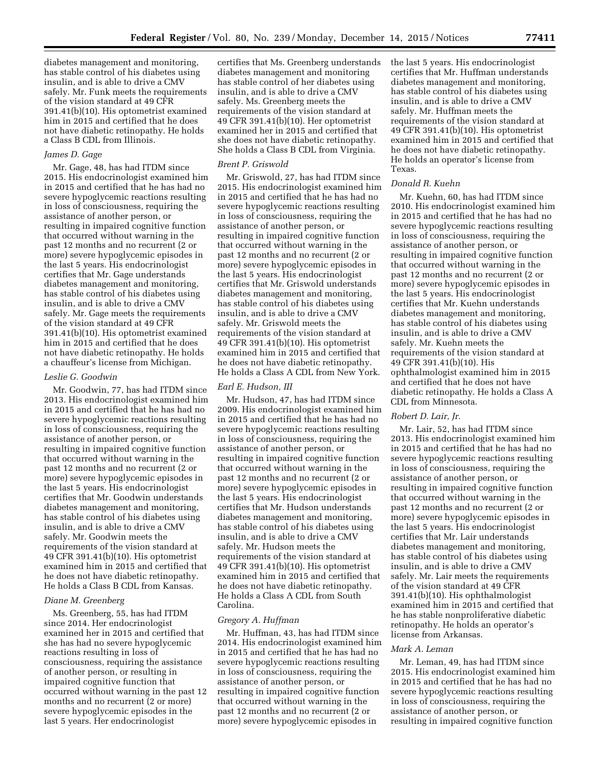diabetes management and monitoring, has stable control of his diabetes using insulin, and is able to drive a CMV safely. Mr. Funk meets the requirements of the vision standard at 49 CFR 391.41(b)(10). His optometrist examined him in 2015 and certified that he does not have diabetic retinopathy. He holds a Class B CDL from Illinois.

## *James D. Gage*

Mr. Gage, 48, has had ITDM since 2015. His endocrinologist examined him in 2015 and certified that he has had no severe hypoglycemic reactions resulting in loss of consciousness, requiring the assistance of another person, or resulting in impaired cognitive function that occurred without warning in the past 12 months and no recurrent (2 or more) severe hypoglycemic episodes in the last 5 years. His endocrinologist certifies that Mr. Gage understands diabetes management and monitoring, has stable control of his diabetes using insulin, and is able to drive a CMV safely. Mr. Gage meets the requirements of the vision standard at 49 CFR 391.41(b)(10). His optometrist examined him in 2015 and certified that he does not have diabetic retinopathy. He holds a chauffeur's license from Michigan.

### *Leslie G. Goodwin*

Mr. Goodwin, 77, has had ITDM since 2013. His endocrinologist examined him in 2015 and certified that he has had no severe hypoglycemic reactions resulting in loss of consciousness, requiring the assistance of another person, or resulting in impaired cognitive function that occurred without warning in the past 12 months and no recurrent (2 or more) severe hypoglycemic episodes in the last 5 years. His endocrinologist certifies that Mr. Goodwin understands diabetes management and monitoring, has stable control of his diabetes using insulin, and is able to drive a CMV safely. Mr. Goodwin meets the requirements of the vision standard at 49 CFR 391.41(b)(10). His optometrist examined him in 2015 and certified that he does not have diabetic retinopathy. He holds a Class B CDL from Kansas.

## *Diane M. Greenberg*

Ms. Greenberg, 55, has had ITDM since 2014. Her endocrinologist examined her in 2015 and certified that she has had no severe hypoglycemic reactions resulting in loss of consciousness, requiring the assistance of another person, or resulting in impaired cognitive function that occurred without warning in the past 12 months and no recurrent (2 or more) severe hypoglycemic episodes in the last 5 years. Her endocrinologist

certifies that Ms. Greenberg understands diabetes management and monitoring has stable control of her diabetes using insulin, and is able to drive a CMV safely. Ms. Greenberg meets the requirements of the vision standard at 49 CFR 391.41(b)(10). Her optometrist examined her in 2015 and certified that she does not have diabetic retinopathy. She holds a Class B CDL from Virginia.

#### *Brent P. Griswold*

Mr. Griswold, 27, has had ITDM since 2015. His endocrinologist examined him in 2015 and certified that he has had no severe hypoglycemic reactions resulting in loss of consciousness, requiring the assistance of another person, or resulting in impaired cognitive function that occurred without warning in the past 12 months and no recurrent (2 or more) severe hypoglycemic episodes in the last 5 years. His endocrinologist certifies that Mr. Griswold understands diabetes management and monitoring, has stable control of his diabetes using insulin, and is able to drive a CMV safely. Mr. Griswold meets the requirements of the vision standard at 49 CFR 391.41(b)(10). His optometrist examined him in 2015 and certified that he does not have diabetic retinopathy. He holds a Class A CDL from New York.

# *Earl E. Hudson, III*

Mr. Hudson, 47, has had ITDM since 2009. His endocrinologist examined him in 2015 and certified that he has had no severe hypoglycemic reactions resulting in loss of consciousness, requiring the assistance of another person, or resulting in impaired cognitive function that occurred without warning in the past 12 months and no recurrent (2 or more) severe hypoglycemic episodes in the last 5 years. His endocrinologist certifies that Mr. Hudson understands diabetes management and monitoring, has stable control of his diabetes using insulin, and is able to drive a CMV safely. Mr. Hudson meets the requirements of the vision standard at 49 CFR 391.41(b)(10). His optometrist examined him in 2015 and certified that he does not have diabetic retinopathy. He holds a Class A CDL from South Carolina.

### *Gregory A. Huffman*

Mr. Huffman, 43, has had ITDM since 2014. His endocrinologist examined him in 2015 and certified that he has had no severe hypoglycemic reactions resulting in loss of consciousness, requiring the assistance of another person, or resulting in impaired cognitive function that occurred without warning in the past 12 months and no recurrent (2 or more) severe hypoglycemic episodes in

the last 5 years. His endocrinologist certifies that Mr. Huffman understands diabetes management and monitoring, has stable control of his diabetes using insulin, and is able to drive a CMV safely. Mr. Huffman meets the requirements of the vision standard at 49 CFR 391.41(b)(10). His optometrist examined him in 2015 and certified that he does not have diabetic retinopathy. He holds an operator's license from Texas.

## *Donald R. Kuehn*

Mr. Kuehn, 60, has had ITDM since 2010. His endocrinologist examined him in 2015 and certified that he has had no severe hypoglycemic reactions resulting in loss of consciousness, requiring the assistance of another person, or resulting in impaired cognitive function that occurred without warning in the past 12 months and no recurrent (2 or more) severe hypoglycemic episodes in the last 5 years. His endocrinologist certifies that Mr. Kuehn understands diabetes management and monitoring, has stable control of his diabetes using insulin, and is able to drive a CMV safely. Mr. Kuehn meets the requirements of the vision standard at 49 CFR 391.41(b)(10). His ophthalmologist examined him in 2015 and certified that he does not have diabetic retinopathy. He holds a Class A CDL from Minnesota.

### *Robert D. Lair, Jr.*

Mr. Lair, 52, has had ITDM since 2013. His endocrinologist examined him in 2015 and certified that he has had no severe hypoglycemic reactions resulting in loss of consciousness, requiring the assistance of another person, or resulting in impaired cognitive function that occurred without warning in the past 12 months and no recurrent (2 or more) severe hypoglycemic episodes in the last 5 years. His endocrinologist certifies that Mr. Lair understands diabetes management and monitoring, has stable control of his diabetes using insulin, and is able to drive a CMV safely. Mr. Lair meets the requirements of the vision standard at 49 CFR 391.41(b)(10). His ophthalmologist examined him in 2015 and certified that he has stable nonproliferative diabetic retinopathy. He holds an operator's license from Arkansas.

### *Mark A. Leman*

Mr. Leman, 49, has had ITDM since 2015. His endocrinologist examined him in 2015 and certified that he has had no severe hypoglycemic reactions resulting in loss of consciousness, requiring the assistance of another person, or resulting in impaired cognitive function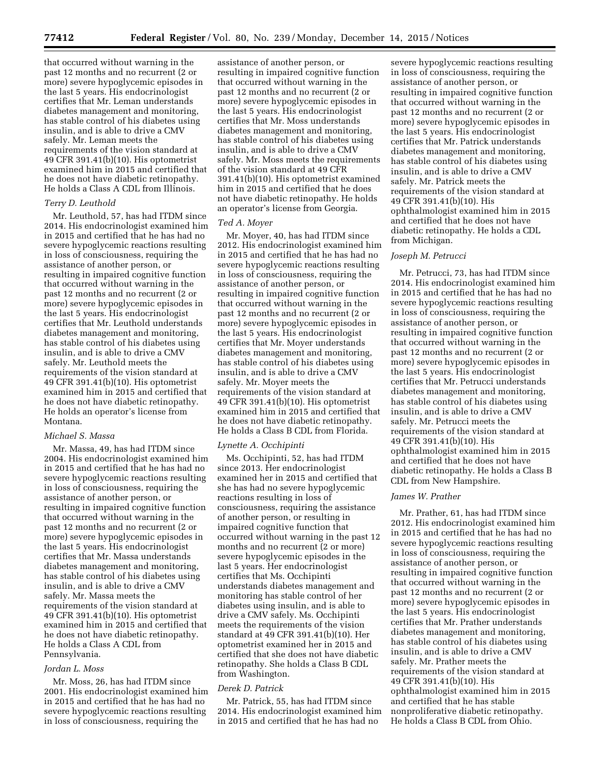that occurred without warning in the past 12 months and no recurrent (2 or more) severe hypoglycemic episodes in the last 5 years. His endocrinologist certifies that Mr. Leman understands diabetes management and monitoring, has stable control of his diabetes using insulin, and is able to drive a CMV safely. Mr. Leman meets the requirements of the vision standard at 49 CFR 391.41(b)(10). His optometrist examined him in 2015 and certified that he does not have diabetic retinopathy. He holds a Class A CDL from Illinois.

## *Terry D. Leuthold*

Mr. Leuthold, 57, has had ITDM since 2014. His endocrinologist examined him in 2015 and certified that he has had no severe hypoglycemic reactions resulting in loss of consciousness, requiring the assistance of another person, or resulting in impaired cognitive function that occurred without warning in the past 12 months and no recurrent (2 or more) severe hypoglycemic episodes in the last 5 years. His endocrinologist certifies that Mr. Leuthold understands diabetes management and monitoring, has stable control of his diabetes using insulin, and is able to drive a CMV safely. Mr. Leuthold meets the requirements of the vision standard at 49 CFR 391.41(b)(10). His optometrist examined him in 2015 and certified that he does not have diabetic retinopathy. He holds an operator's license from Montana.

# *Michael S. Massa*

Mr. Massa, 49, has had ITDM since 2004. His endocrinologist examined him in 2015 and certified that he has had no severe hypoglycemic reactions resulting in loss of consciousness, requiring the assistance of another person, or resulting in impaired cognitive function that occurred without warning in the past 12 months and no recurrent (2 or more) severe hypoglycemic episodes in the last 5 years. His endocrinologist certifies that Mr. Massa understands diabetes management and monitoring, has stable control of his diabetes using insulin, and is able to drive a CMV safely. Mr. Massa meets the requirements of the vision standard at 49 CFR 391.41(b)(10). His optometrist examined him in 2015 and certified that he does not have diabetic retinopathy. He holds a Class A CDL from Pennsylvania.

### *Jordan L. Moss*

Mr. Moss, 26, has had ITDM since 2001. His endocrinologist examined him in 2015 and certified that he has had no severe hypoglycemic reactions resulting in loss of consciousness, requiring the

assistance of another person, or resulting in impaired cognitive function that occurred without warning in the past 12 months and no recurrent (2 or more) severe hypoglycemic episodes in the last 5 years. His endocrinologist certifies that Mr. Moss understands diabetes management and monitoring, has stable control of his diabetes using insulin, and is able to drive a CMV safely. Mr. Moss meets the requirements of the vision standard at 49 CFR 391.41(b)(10). His optometrist examined him in 2015 and certified that he does not have diabetic retinopathy. He holds an operator's license from Georgia.

#### *Ted A. Moyer*

Mr. Moyer, 40, has had ITDM since 2012. His endocrinologist examined him in 2015 and certified that he has had no severe hypoglycemic reactions resulting in loss of consciousness, requiring the assistance of another person, or resulting in impaired cognitive function that occurred without warning in the past 12 months and no recurrent (2 or more) severe hypoglycemic episodes in the last 5 years. His endocrinologist certifies that Mr. Moyer understands diabetes management and monitoring, has stable control of his diabetes using insulin, and is able to drive a CMV safely. Mr. Moyer meets the requirements of the vision standard at 49 CFR 391.41(b)(10). His optometrist examined him in 2015 and certified that he does not have diabetic retinopathy. He holds a Class B CDL from Florida.

#### *Lynette A. Occhipinti*

Ms. Occhipinti, 52, has had ITDM since 2013. Her endocrinologist examined her in 2015 and certified that she has had no severe hypoglycemic reactions resulting in loss of consciousness, requiring the assistance of another person, or resulting in impaired cognitive function that occurred without warning in the past 12 months and no recurrent (2 or more) severe hypoglycemic episodes in the last 5 years. Her endocrinologist certifies that Ms. Occhipinti understands diabetes management and monitoring has stable control of her diabetes using insulin, and is able to drive a CMV safely. Ms. Occhipinti meets the requirements of the vision standard at 49 CFR 391.41(b)(10). Her optometrist examined her in 2015 and certified that she does not have diabetic retinopathy. She holds a Class B CDL from Washington.

# *Derek D. Patrick*

Mr. Patrick, 55, has had ITDM since 2014. His endocrinologist examined him in 2015 and certified that he has had no

severe hypoglycemic reactions resulting in loss of consciousness, requiring the assistance of another person, or resulting in impaired cognitive function that occurred without warning in the past 12 months and no recurrent (2 or more) severe hypoglycemic episodes in the last 5 years. His endocrinologist certifies that Mr. Patrick understands diabetes management and monitoring, has stable control of his diabetes using insulin, and is able to drive a CMV safely. Mr. Patrick meets the requirements of the vision standard at 49 CFR 391.41(b)(10). His ophthalmologist examined him in 2015 and certified that he does not have diabetic retinopathy. He holds a CDL from Michigan.

#### *Joseph M. Petrucci*

Mr. Petrucci, 73, has had ITDM since 2014. His endocrinologist examined him in 2015 and certified that he has had no severe hypoglycemic reactions resulting in loss of consciousness, requiring the assistance of another person, or resulting in impaired cognitive function that occurred without warning in the past 12 months and no recurrent (2 or more) severe hypoglycemic episodes in the last 5 years. His endocrinologist certifies that Mr. Petrucci understands diabetes management and monitoring, has stable control of his diabetes using insulin, and is able to drive a CMV safely. Mr. Petrucci meets the requirements of the vision standard at 49 CFR 391.41(b)(10). His ophthalmologist examined him in 2015 and certified that he does not have diabetic retinopathy. He holds a Class B CDL from New Hampshire.

### *James W. Prather*

Mr. Prather, 61, has had ITDM since 2012. His endocrinologist examined him in 2015 and certified that he has had no severe hypoglycemic reactions resulting in loss of consciousness, requiring the assistance of another person, or resulting in impaired cognitive function that occurred without warning in the past 12 months and no recurrent (2 or more) severe hypoglycemic episodes in the last 5 years. His endocrinologist certifies that Mr. Prather understands diabetes management and monitoring, has stable control of his diabetes using insulin, and is able to drive a CMV safely. Mr. Prather meets the requirements of the vision standard at 49 CFR 391.41(b)(10). His ophthalmologist examined him in 2015 and certified that he has stable nonproliferative diabetic retinopathy. He holds a Class B CDL from Ohio.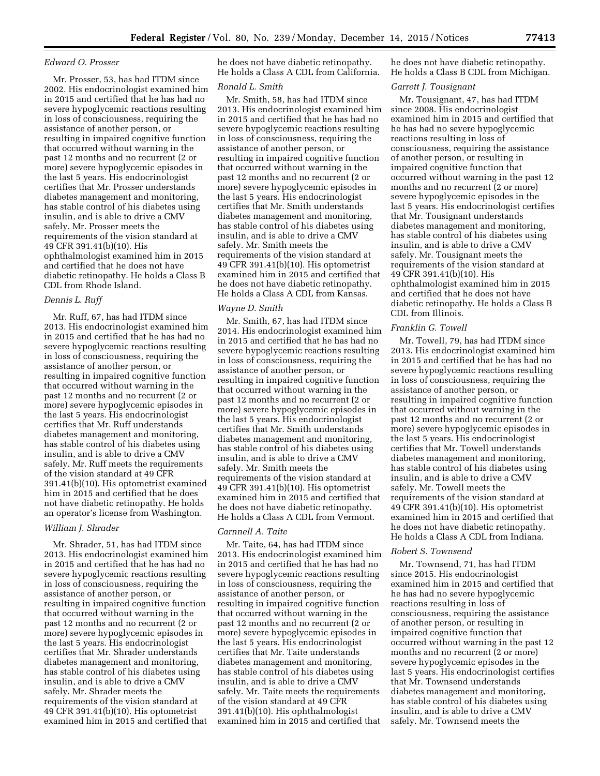### *Edward O. Prosser*

Mr. Prosser, 53, has had ITDM since 2002. His endocrinologist examined him in 2015 and certified that he has had no severe hypoglycemic reactions resulting in loss of consciousness, requiring the assistance of another person, or resulting in impaired cognitive function that occurred without warning in the past 12 months and no recurrent (2 or more) severe hypoglycemic episodes in the last 5 years. His endocrinologist certifies that Mr. Prosser understands diabetes management and monitoring, has stable control of his diabetes using insulin, and is able to drive a CMV safely. Mr. Prosser meets the requirements of the vision standard at 49 CFR 391.41(b)(10). His ophthalmologist examined him in 2015 and certified that he does not have diabetic retinopathy. He holds a Class B CDL from Rhode Island.

# *Dennis L. Ruff*

Mr. Ruff, 67, has had ITDM since 2013. His endocrinologist examined him in 2015 and certified that he has had no severe hypoglycemic reactions resulting in loss of consciousness, requiring the assistance of another person, or resulting in impaired cognitive function that occurred without warning in the past 12 months and no recurrent (2 or more) severe hypoglycemic episodes in the last 5 years. His endocrinologist certifies that Mr. Ruff understands diabetes management and monitoring, has stable control of his diabetes using insulin, and is able to drive a CMV safely. Mr. Ruff meets the requirements of the vision standard at 49 CFR 391.41(b)(10). His optometrist examined him in 2015 and certified that he does not have diabetic retinopathy. He holds an operator's license from Washington.

## *William J. Shrader*

Mr. Shrader, 51, has had ITDM since 2013. His endocrinologist examined him in 2015 and certified that he has had no severe hypoglycemic reactions resulting in loss of consciousness, requiring the assistance of another person, or resulting in impaired cognitive function that occurred without warning in the past 12 months and no recurrent (2 or more) severe hypoglycemic episodes in the last 5 years. His endocrinologist certifies that Mr. Shrader understands diabetes management and monitoring, has stable control of his diabetes using insulin, and is able to drive a CMV safely. Mr. Shrader meets the requirements of the vision standard at 49 CFR 391.41(b)(10). His optometrist examined him in 2015 and certified that

he does not have diabetic retinopathy. He holds a Class A CDL from California.

# *Ronald L. Smith*

Mr. Smith, 58, has had ITDM since 2013. His endocrinologist examined him in 2015 and certified that he has had no severe hypoglycemic reactions resulting in loss of consciousness, requiring the assistance of another person, or resulting in impaired cognitive function that occurred without warning in the past 12 months and no recurrent (2 or more) severe hypoglycemic episodes in the last 5 years. His endocrinologist certifies that Mr. Smith understands diabetes management and monitoring, has stable control of his diabetes using insulin, and is able to drive a CMV safely. Mr. Smith meets the requirements of the vision standard at 49 CFR 391.41(b)(10). His optometrist examined him in 2015 and certified that he does not have diabetic retinopathy. He holds a Class A CDL from Kansas.

#### *Wayne D. Smith*

Mr. Smith, 67, has had ITDM since 2014. His endocrinologist examined him in 2015 and certified that he has had no severe hypoglycemic reactions resulting in loss of consciousness, requiring the assistance of another person, or resulting in impaired cognitive function that occurred without warning in the past 12 months and no recurrent (2 or more) severe hypoglycemic episodes in the last 5 years. His endocrinologist certifies that Mr. Smith understands diabetes management and monitoring, has stable control of his diabetes using insulin, and is able to drive a CMV safely. Mr. Smith meets the requirements of the vision standard at 49 CFR 391.41(b)(10). His optometrist examined him in 2015 and certified that he does not have diabetic retinopathy. He holds a Class A CDL from Vermont.

### *Carnnell A. Taite*

Mr. Taite, 64, has had ITDM since 2013. His endocrinologist examined him in 2015 and certified that he has had no severe hypoglycemic reactions resulting in loss of consciousness, requiring the assistance of another person, or resulting in impaired cognitive function that occurred without warning in the past 12 months and no recurrent (2 or more) severe hypoglycemic episodes in the last 5 years. His endocrinologist certifies that Mr. Taite understands diabetes management and monitoring, has stable control of his diabetes using insulin, and is able to drive a CMV safely. Mr. Taite meets the requirements of the vision standard at 49 CFR 391.41(b)(10). His ophthalmologist examined him in 2015 and certified that

he does not have diabetic retinopathy. He holds a Class B CDL from Michigan.

### *Garrett J. Tousignant*

Mr. Tousignant, 47, has had ITDM since 2008. His endocrinologist examined him in 2015 and certified that he has had no severe hypoglycemic reactions resulting in loss of consciousness, requiring the assistance of another person, or resulting in impaired cognitive function that occurred without warning in the past 12 months and no recurrent (2 or more) severe hypoglycemic episodes in the last 5 years. His endocrinologist certifies that Mr. Tousignant understands diabetes management and monitoring, has stable control of his diabetes using insulin, and is able to drive a CMV safely. Mr. Tousignant meets the requirements of the vision standard at 49 CFR 391.41(b)(10). His ophthalmologist examined him in 2015 and certified that he does not have diabetic retinopathy. He holds a Class B CDL from Illinois.

### *Franklin G. Towell*

Mr. Towell, 79, has had ITDM since 2013. His endocrinologist examined him in 2015 and certified that he has had no severe hypoglycemic reactions resulting in loss of consciousness, requiring the assistance of another person, or resulting in impaired cognitive function that occurred without warning in the past 12 months and no recurrent (2 or more) severe hypoglycemic episodes in the last 5 years. His endocrinologist certifies that Mr. Towell understands diabetes management and monitoring, has stable control of his diabetes using insulin, and is able to drive a CMV safely. Mr. Towell meets the requirements of the vision standard at 49 CFR 391.41(b)(10). His optometrist examined him in 2015 and certified that he does not have diabetic retinopathy. He holds a Class A CDL from Indiana.

#### *Robert S. Townsend*

Mr. Townsend, 71, has had ITDM since 2015. His endocrinologist examined him in 2015 and certified that he has had no severe hypoglycemic reactions resulting in loss of consciousness, requiring the assistance of another person, or resulting in impaired cognitive function that occurred without warning in the past 12 months and no recurrent (2 or more) severe hypoglycemic episodes in the last 5 years. His endocrinologist certifies that Mr. Townsend understands diabetes management and monitoring, has stable control of his diabetes using insulin, and is able to drive a CMV safely. Mr. Townsend meets the